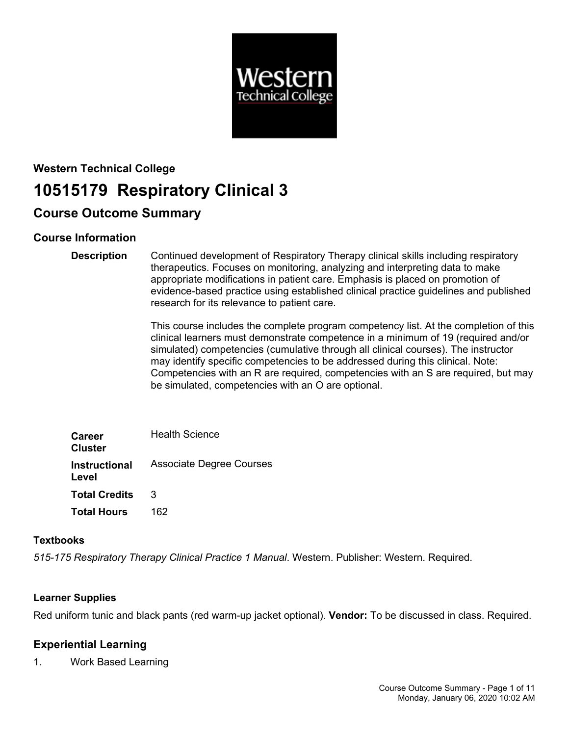

# **Western Technical College 10515179 Respiratory Clinical 3**

# **Course Outcome Summary**

# **Course Information**

**Description** Continued development of Respiratory Therapy clinical skills including respiratory therapeutics. Focuses on monitoring, analyzing and interpreting data to make appropriate modifications in patient care. Emphasis is placed on promotion of evidence-based practice using established clinical practice guidelines and published research for its relevance to patient care.

> This course includes the complete program competency list. At the completion of this clinical learners must demonstrate competence in a minimum of 19 (required and/or simulated) competencies (cumulative through all clinical courses). The instructor may identify specific competencies to be addressed during this clinical. Note: Competencies with an R are required, competencies with an S are required, but may be simulated, competencies with an O are optional.

| <b>Career</b><br><b>Cluster</b> | <b>Health Science</b>           |
|---------------------------------|---------------------------------|
| <b>Instructional</b><br>Level   | <b>Associate Degree Courses</b> |
| <b>Total Credits</b>            | 3                               |
| <b>Total Hours</b>              | 162                             |

### **Textbooks**

*515-175 Respiratory Therapy Clinical Practice 1 Manual*. Western. Publisher: Western. Required.

### **Learner Supplies**

Red uniform tunic and black pants (red warm-up jacket optional). **Vendor:** To be discussed in class. Required.

# **Experiential Learning**

1. Work Based Learning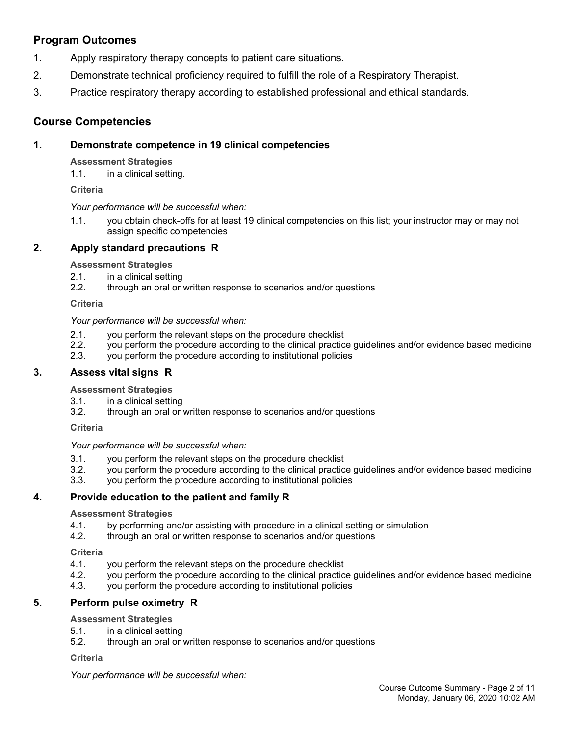# **Program Outcomes**

- 1. Apply respiratory therapy concepts to patient care situations.
- 2. Demonstrate technical proficiency required to fulfill the role of a Respiratory Therapist.
- 3. Practice respiratory therapy according to established professional and ethical standards.

## **Course Competencies**

### **1. Demonstrate competence in 19 clinical competencies**

**Assessment Strategies**

1.1. in a clinical setting.

**Criteria**

*Your performance will be successful when:*

1.1. you obtain check-offs for at least 19 clinical competencies on this list; your instructor may or may not assign specific competencies

### **2. Apply standard precautions R**

**Assessment Strategies**

- 2.1. in a clinical setting
- 2.2. through an oral or written response to scenarios and/or questions

**Criteria**

*Your performance will be successful when:*

- 2.1. you perform the relevant steps on the procedure checklist
- 2.2. you perform the procedure according to the clinical practice guidelines and/or evidence based medicine
- 2.3. you perform the procedure according to institutional policies

### **3. Assess vital signs R**

**Assessment Strategies**

- 3.1. in a clinical setting
- 3.2. through an oral or written response to scenarios and/or questions

**Criteria**

*Your performance will be successful when:*

- 3.1. you perform the relevant steps on the procedure checklist
- 3.2. you perform the procedure according to the clinical practice guidelines and/or evidence based medicine
- 3.3. you perform the procedure according to institutional policies

### **4. Provide education to the patient and family R**

#### **Assessment Strategies**

- 4.1. by performing and/or assisting with procedure in a clinical setting or simulation<br>4.2. through an oral or written response to scenarios and/or questions
- through an oral or written response to scenarios and/or questions

**Criteria**

- 4.1. you perform the relevant steps on the procedure checklist
- 4.2. you perform the procedure according to the clinical practice guidelines and/or evidence based medicine
- 4.3. you perform the procedure according to institutional policies

### **5. Perform pulse oximetry R**

### **Assessment Strategies**

- 5.1. in a clinical setting
- 5.2. through an oral or written response to scenarios and/or questions

#### **Criteria**

*Your performance will be successful when:*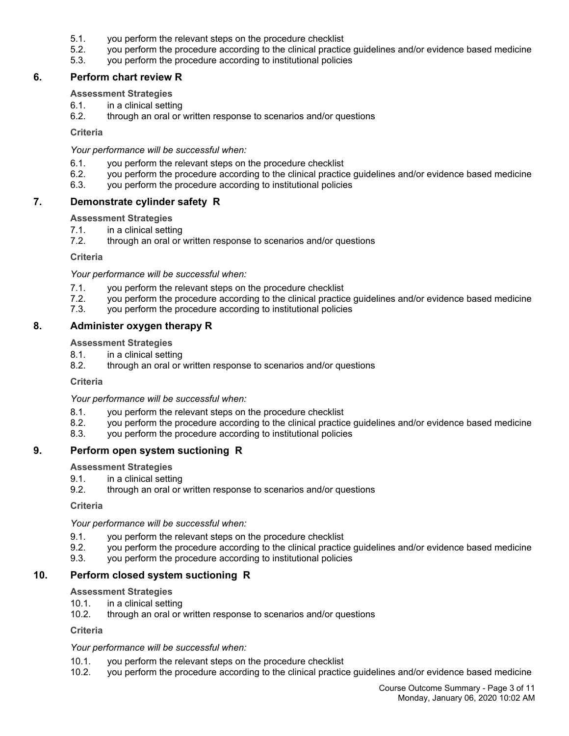- 5.1. you perform the relevant steps on the procedure checklist
- 5.2. you perform the procedure according to the clinical practice guidelines and/or evidence based medicine
- 5.3. you perform the procedure according to institutional policies

### **6. Perform chart review R**

### **Assessment Strategies**

- 6.1. in a clinical setting
- 6.2. through an oral or written response to scenarios and/or questions

#### **Criteria**

*Your performance will be successful when:*

- 6.1. you perform the relevant steps on the procedure checklist
- 6.2. you perform the procedure according to the clinical practice guidelines and/or evidence based medicine
- 6.3. you perform the procedure according to institutional policies

### **7. Demonstrate cylinder safety R**

#### **Assessment Strategies**

- 7.1. in a clinical setting
- 7.2. through an oral or written response to scenarios and/or questions

#### **Criteria**

*Your performance will be successful when:*

- 7.1. you perform the relevant steps on the procedure checklist
- 7.2. you perform the procedure according to the clinical practice guidelines and/or evidence based medicine
- 7.3. you perform the procedure according to institutional policies

### **8. Administer oxygen therapy R**

**Assessment Strategies**

- 8.1. in a clinical setting
- 8.2. through an oral or written response to scenarios and/or questions

#### **Criteria**

*Your performance will be successful when:*

- 8.1. you perform the relevant steps on the procedure checklist
- 8.2. you perform the procedure according to the clinical practice guidelines and/or evidence based medicine
- 8.3. you perform the procedure according to institutional policies

### **9. Perform open system suctioning R**

**Assessment Strategies**

- 9.1. in a clinical setting
- 9.2. through an oral or written response to scenarios and/or questions

**Criteria**

*Your performance will be successful when:*

- 9.1. you perform the relevant steps on the procedure checklist
- 9.2. you perform the procedure according to the clinical practice guidelines and/or evidence based medicine
- 9.3. you perform the procedure according to institutional policies

### **10. Perform closed system suctioning R**

#### **Assessment Strategies**

- 10.1. in a clinical setting
- 10.2. through an oral or written response to scenarios and/or questions

**Criteria**

#### *Your performance will be successful when:*

- 10.1. you perform the relevant steps on the procedure checklist
- 10.2. you perform the procedure according to the clinical practice guidelines and/or evidence based medicine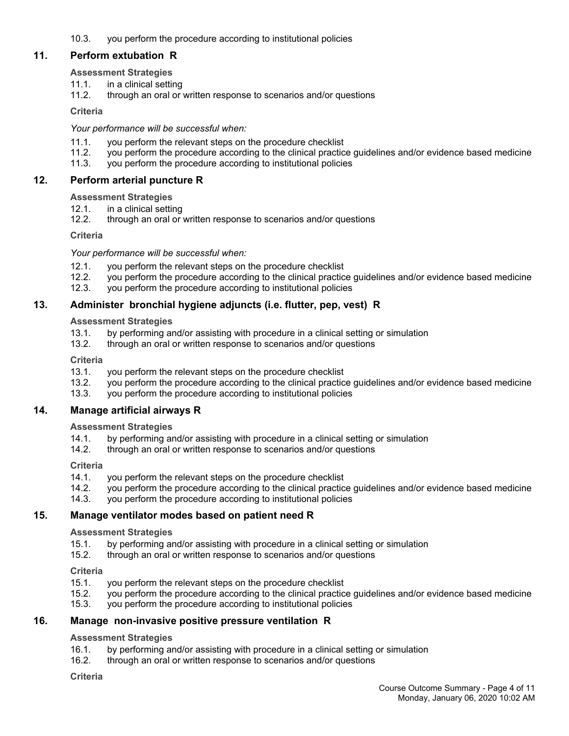10.3. you perform the procedure according to institutional policies

### **11. Perform extubation R**

### **Assessment Strategies**

- 11.1. in a clinical setting
- 11.2. through an oral or written response to scenarios and/or questions

### **Criteria**

### *Your performance will be successful when:*

- 11.1. you perform the relevant steps on the procedure checklist
- 11.2. you perform the procedure according to the clinical practice guidelines and/or evidence based medicine
- 11.3. you perform the procedure according to institutional policies

### **12. Perform arterial puncture R**

### **Assessment Strategies**

- 12.1. in a clinical setting
- 12.2. through an oral or written response to scenarios and/or questions

### **Criteria**

### *Your performance will be successful when:*

- 12.1. you perform the relevant steps on the procedure checklist
- 12.2. you perform the procedure according to the clinical practice guidelines and/or evidence based medicine
- 12.3. you perform the procedure according to institutional policies

### **13. Administer bronchial hygiene adjuncts (i.e. flutter, pep, vest) R**

### **Assessment Strategies**

- 13.1. by performing and/or assisting with procedure in a clinical setting or simulation
- 13.2. through an oral or written response to scenarios and/or questions

### **Criteria**

- 13.1. you perform the relevant steps on the procedure checklist
- 13.2. you perform the procedure according to the clinical practice guidelines and/or evidence based medicine
- 13.3. you perform the procedure according to institutional policies

### **14. Manage artificial airways R**

### **Assessment Strategies**

- 14.1. by performing and/or assisting with procedure in a clinical setting or simulation
- 14.2. through an oral or written response to scenarios and/or questions

### **Criteria**

- 14.1. you perform the relevant steps on the procedure checklist
- 14.2. you perform the procedure according to the clinical practice guidelines and/or evidence based medicine
- 14.3. you perform the procedure according to institutional policies

### **15. Manage ventilator modes based on patient need R**

### **Assessment Strategies**

- 15.1. by performing and/or assisting with procedure in a clinical setting or simulation
- 15.2. through an oral or written response to scenarios and/or questions

### **Criteria**

- 15.1. you perform the relevant steps on the procedure checklist<br>15.2. vou perform the procedure according to the clinical practic
- 15.2. you perform the procedure according to the clinical practice guidelines and/or evidence based medicine
- 15.3. you perform the procedure according to institutional policies

### **16. Manage non-invasive positive pressure ventilation R**

### **Assessment Strategies**

- 16.1. by performing and/or assisting with procedure in a clinical setting or simulation
- 16.2. through an oral or written response to scenarios and/or questions

### **Criteria**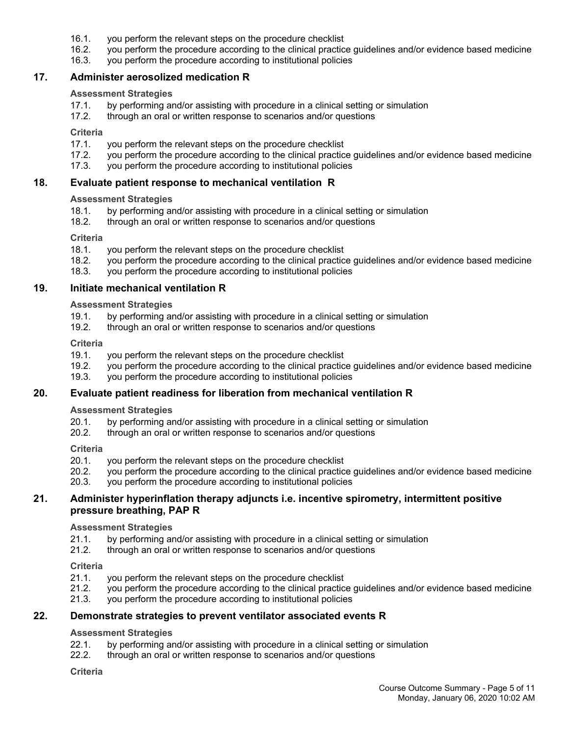- 16.1. you perform the relevant steps on the procedure checklist
- 16.2. you perform the procedure according to the clinical practice guidelines and/or evidence based medicine
- 16.3. you perform the procedure according to institutional policies

### **17. Administer aerosolized medication R**

#### **Assessment Strategies**

- 17.1. by performing and/or assisting with procedure in a clinical setting or simulation
- 17.2. through an oral or written response to scenarios and/or questions

#### **Criteria**

- 17.1. you perform the relevant steps on the procedure checklist
- 17.2. you perform the procedure according to the clinical practice guidelines and/or evidence based medicine
- 17.3. you perform the procedure according to institutional policies

### **18. Evaluate patient response to mechanical ventilation R**

#### **Assessment Strategies**

- 18.1. by performing and/or assisting with procedure in a clinical setting or simulation 18.2. through an oral or written response to scenarios and/or questions
- through an oral or written response to scenarios and/or questions

#### **Criteria**

- 18.1. you perform the relevant steps on the procedure checklist
- 18.2. you perform the procedure according to the clinical practice guidelines and/or evidence based medicine
- 18.3. you perform the procedure according to institutional policies

#### **19. Initiate mechanical ventilation R**

#### **Assessment Strategies**

- 19.1. by performing and/or assisting with procedure in a clinical setting or simulation<br>19.2. through an oral or written response to scenarios and/or questions
- through an oral or written response to scenarios and/or questions

#### **Criteria**

- 19.1. you perform the relevant steps on the procedure checklist
- 19.2. you perform the procedure according to the clinical practice guidelines and/or evidence based medicine
- 19.3. you perform the procedure according to institutional policies

### **20. Evaluate patient readiness for liberation from mechanical ventilation R**

### **Assessment Strategies**

- 20.1. by performing and/or assisting with procedure in a clinical setting or simulation
- 20.2. through an oral or written response to scenarios and/or questions

#### **Criteria**

- 20.1. you perform the relevant steps on the procedure checklist
- 20.2. you perform the procedure according to the clinical practice guidelines and/or evidence based medicine
- 20.3. you perform the procedure according to institutional policies

### **21. Administer hyperinflation therapy adjuncts i.e. incentive spirometry, intermittent positive pressure breathing, PAP R**

#### **Assessment Strategies**

- 21.1. by performing and/or assisting with procedure in a clinical setting or simulation
- 21.2. through an oral or written response to scenarios and/or questions

#### **Criteria**

- 21.1. you perform the relevant steps on the procedure checklist
- 21.2. you perform the procedure according to the clinical practice guidelines and/or evidence based medicine
- 21.3. you perform the procedure according to institutional policies

### **22. Demonstrate strategies to prevent ventilator associated events R**

### **Assessment Strategies**

- 22.1. by performing and/or assisting with procedure in a clinical setting or simulation
- 22.2. through an oral or written response to scenarios and/or questions

#### **Criteria**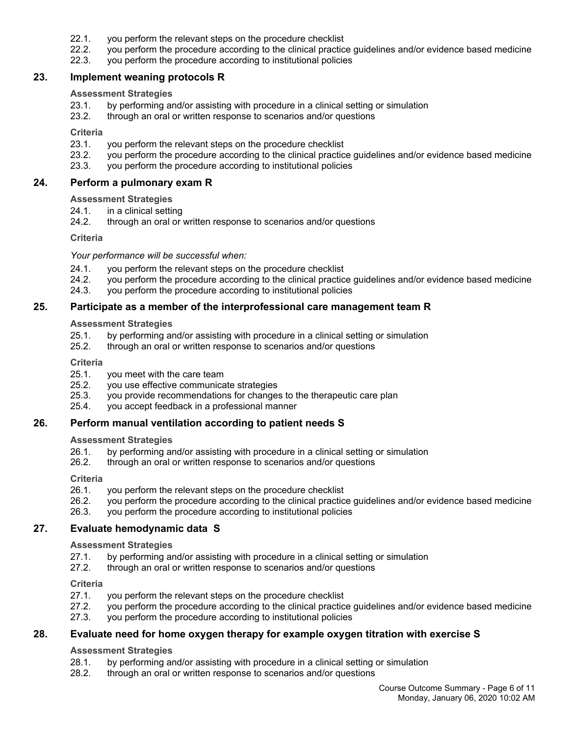- 22.1. you perform the relevant steps on the procedure checklist
- 22.2. you perform the procedure according to the clinical practice guidelines and/or evidence based medicine
- 22.3. you perform the procedure according to institutional policies

### **23. Implement weaning protocols R**

#### **Assessment Strategies**

- 23.1. by performing and/or assisting with procedure in a clinical setting or simulation
- 23.2. through an oral or written response to scenarios and/or questions

#### **Criteria**

- 23.1. you perform the relevant steps on the procedure checklist
- 23.2. you perform the procedure according to the clinical practice guidelines and/or evidence based medicine
- 23.3. you perform the procedure according to institutional policies

#### **24. Perform a pulmonary exam R**

### **Assessment Strategies**

- 24.1. in a clinical setting
- 24.2. through an oral or written response to scenarios and/or questions

#### **Criteria**

#### *Your performance will be successful when:*

- 24.1. you perform the relevant steps on the procedure checklist
- 24.2. you perform the procedure according to the clinical practice guidelines and/or evidence based medicine
- 24.3. you perform the procedure according to institutional policies

### **25. Participate as a member of the interprofessional care management team R**

### **Assessment Strategies**

- 25.1. by performing and/or assisting with procedure in a clinical setting or simulation
- 25.2. through an oral or written response to scenarios and/or questions

#### **Criteria**

- 25.1. you meet with the care team
- 25.2. you use effective communicate strategies
- 25.3. you provide recommendations for changes to the therapeutic care plan
- 25.4. you accept feedback in a professional manner

### **26. Perform manual ventilation according to patient needs S**

#### **Assessment Strategies**

- 26.1. by performing and/or assisting with procedure in a clinical setting or simulation
- 26.2. through an oral or written response to scenarios and/or questions

#### **Criteria**

- 26.1. you perform the relevant steps on the procedure checklist
- 26.2. you perform the procedure according to the clinical practice guidelines and/or evidence based medicine
- 26.3. you perform the procedure according to institutional policies

### **27. Evaluate hemodynamic data S**

#### **Assessment Strategies**

- 27.1. by performing and/or assisting with procedure in a clinical setting or simulation
- 27.2. through an oral or written response to scenarios and/or questions

#### **Criteria**

- 27.1. you perform the relevant steps on the procedure checklist
- 27.2. you perform the procedure according to the clinical practice guidelines and/or evidence based medicine
- 27.3. you perform the procedure according to institutional policies

### **28. Evaluate need for home oxygen therapy for example oxygen titration with exercise S**

### **Assessment Strategies**

- 28.1. by performing and/or assisting with procedure in a clinical setting or simulation
- 28.2. through an oral or written response to scenarios and/or questions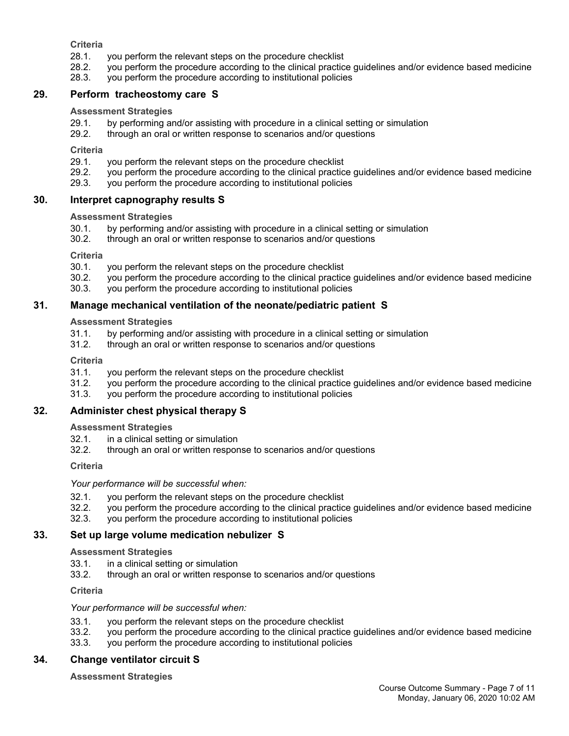**Criteria**

- 28.1. you perform the relevant steps on the procedure checklist
- 28.2. you perform the procedure according to the clinical practice guidelines and/or evidence based medicine
- 28.3. you perform the procedure according to institutional policies

### **29. Perform tracheostomy care S**

### **Assessment Strategies**

- 29.1. by performing and/or assisting with procedure in a clinical setting or simulation
- 29.2. through an oral or written response to scenarios and/or questions

**Criteria**

- 29.1. you perform the relevant steps on the procedure checklist
- 29.2. you perform the procedure according to the clinical practice guidelines and/or evidence based medicine 29.3. vou perform the procedure according to institutional policies
- you perform the procedure according to institutional policies

### **30. Interpret capnography results S**

### **Assessment Strategies**

- 30.1. by performing and/or assisting with procedure in a clinical setting or simulation
- 30.2. through an oral or written response to scenarios and/or questions

**Criteria**

- 30.1. you perform the relevant steps on the procedure checklist
- 30.2. you perform the procedure according to the clinical practice guidelines and/or evidence based medicine
- 30.3. you perform the procedure according to institutional policies

### **31. Manage mechanical ventilation of the neonate/pediatric patient S**

**Assessment Strategies**

- 31.1. by performing and/or assisting with procedure in a clinical setting or simulation
- 31.2. through an oral or written response to scenarios and/or questions

**Criteria**

- 31.1. you perform the relevant steps on the procedure checklist
- 31.2. you perform the procedure according to the clinical practice guidelines and/or evidence based medicine
- 31.3. you perform the procedure according to institutional policies

### **32. Administer chest physical therapy S**

**Assessment Strategies**

- 32.1. in a clinical setting or simulation
- 32.2. through an oral or written response to scenarios and/or questions

**Criteria**

*Your performance will be successful when:*

- 32.1. you perform the relevant steps on the procedure checklist
- 32.2. you perform the procedure according to the clinical practice guidelines and/or evidence based medicine
- 32.3. you perform the procedure according to institutional policies

### **33. Set up large volume medication nebulizer S**

**Assessment Strategies**

- 33.1. in a clinical setting or simulation
- 33.2. through an oral or written response to scenarios and/or questions

**Criteria**

#### *Your performance will be successful when:*

- 33.1. you perform the relevant steps on the procedure checklist
- 33.2. you perform the procedure according to the clinical practice guidelines and/or evidence based medicine
- 33.3. you perform the procedure according to institutional policies

### **34. Change ventilator circuit S**

**Assessment Strategies**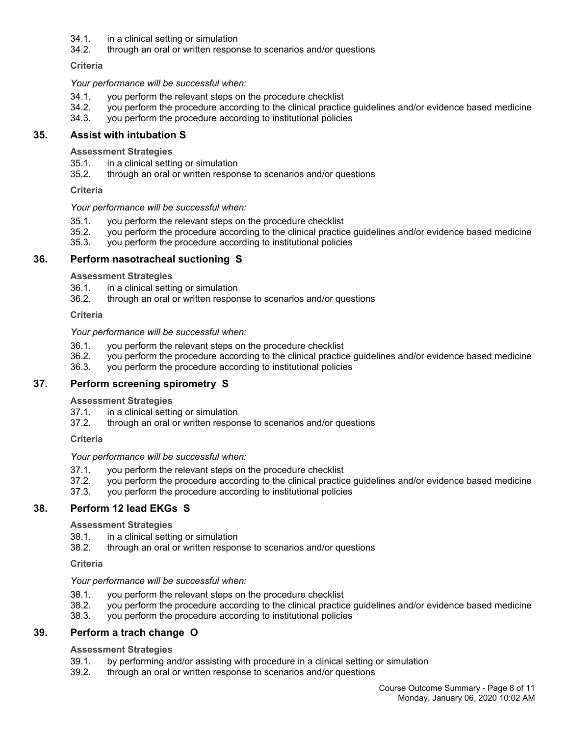- 34.1. in a clinical setting or simulation
- 34.2. through an oral or written response to scenarios and/or questions

**Criteria**

*Your performance will be successful when:*

- 34.1. you perform the relevant steps on the procedure checklist
- 34.2. you perform the procedure according to the clinical practice guidelines and/or evidence based medicine
- 34.3. you perform the procedure according to institutional policies

### **35. Assist with intubation S**

**Assessment Strategies**

- 35.1. in a clinical setting or simulation
- 35.2. through an oral or written response to scenarios and/or questions

**Criteria**

#### *Your performance will be successful when:*

- 35.1. you perform the relevant steps on the procedure checklist
- 35.2. you perform the procedure according to the clinical practice guidelines and/or evidence based medicine
- 35.3. you perform the procedure according to institutional policies

### **36. Perform nasotracheal suctioning S**

**Assessment Strategies**

- 36.1. in a clinical setting or simulation
- 36.2. through an oral or written response to scenarios and/or questions

**Criteria**

#### *Your performance will be successful when:*

- 36.1. you perform the relevant steps on the procedure checklist
- 36.2. you perform the procedure according to the clinical practice guidelines and/or evidence based medicine
- 36.3. you perform the procedure according to institutional policies

### **37. Perform screening spirometry S**

#### **Assessment Strategies**

- 37.1. in a clinical setting or simulation
- 37.2. through an oral or written response to scenarios and/or questions

**Criteria**

*Your performance will be successful when:*

- 37.1. you perform the relevant steps on the procedure checklist
- 37.2. you perform the procedure according to the clinical practice guidelines and/or evidence based medicine
- 37.3. you perform the procedure according to institutional policies

### **38. Perform 12 lead EKGs S**

#### **Assessment Strategies**

- 38.1. in a clinical setting or simulation
- 38.2. through an oral or written response to scenarios and/or questions

### **Criteria**

#### *Your performance will be successful when:*

- 38.1. you perform the relevant steps on the procedure checklist
- 38.2. you perform the procedure according to the clinical practice guidelines and/or evidence based medicine
- 38.3. you perform the procedure according to institutional policies

### **39. Perform a trach change O**

### **Assessment Strategies**

- 39.1. by performing and/or assisting with procedure in a clinical setting or simulation
- 39.2. through an oral or written response to scenarios and/or questions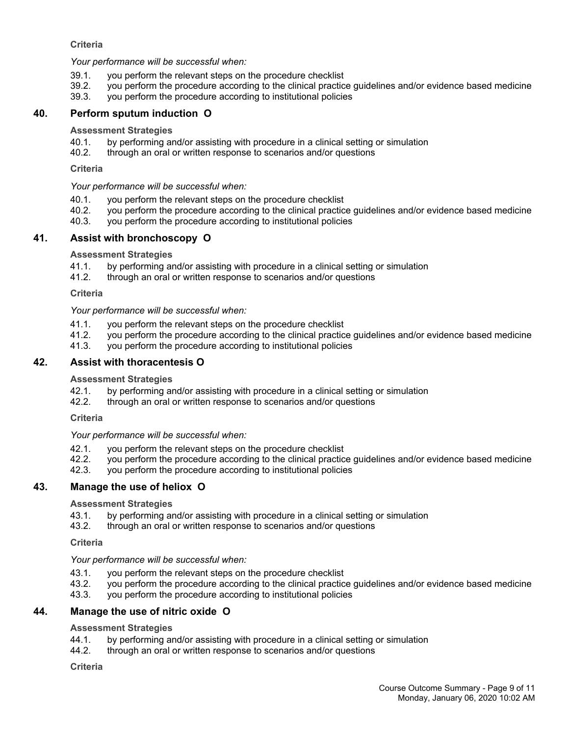### **Criteria**

*Your performance will be successful when:*

- 39.1. you perform the relevant steps on the procedure checklist
- 39.2. you perform the procedure according to the clinical practice guidelines and/or evidence based medicine
- 39.3. you perform the procedure according to institutional policies

### **40. Perform sputum induction O**

#### **Assessment Strategies**

- 40.1. by performing and/or assisting with procedure in a clinical setting or simulation
- 40.2. through an oral or written response to scenarios and/or questions

#### **Criteria**

*Your performance will be successful when:*

- 40.1. you perform the relevant steps on the procedure checklist
- 40.2. you perform the procedure according to the clinical practice guidelines and/or evidence based medicine
- 40.3. you perform the procedure according to institutional policies

### **41. Assist with bronchoscopy O**

#### **Assessment Strategies**

- 41.1. by performing and/or assisting with procedure in a clinical setting or simulation
- 41.2. through an oral or written response to scenarios and/or questions

#### **Criteria**

*Your performance will be successful when:*

- 41.1. you perform the relevant steps on the procedure checklist
- 41.2. you perform the procedure according to the clinical practice guidelines and/or evidence based medicine
- 41.3. you perform the procedure according to institutional policies

### **42. Assist with thoracentesis O**

#### **Assessment Strategies**

- 42.1. by performing and/or assisting with procedure in a clinical setting or simulation
- 42.2. through an oral or written response to scenarios and/or questions

#### **Criteria**

#### *Your performance will be successful when:*

- 42.1. you perform the relevant steps on the procedure checklist
- 42.2. you perform the procedure according to the clinical practice guidelines and/or evidence based medicine<br>42.3. you perform the procedure according to institutional policies
- you perform the procedure according to institutional policies

### **43. Manage the use of heliox O**

#### **Assessment Strategies**

- 43.1. by performing and/or assisting with procedure in a clinical setting or simulation
- 43.2. through an oral or written response to scenarios and/or questions

#### **Criteria**

### *Your performance will be successful when:*

- 43.1. you perform the relevant steps on the procedure checklist
- 43.2. you perform the procedure according to the clinical practice guidelines and/or evidence based medicine
- 43.3. you perform the procedure according to institutional policies

### **44. Manage the use of nitric oxide O**

#### **Assessment Strategies**

- 44.1. by performing and/or assisting with procedure in a clinical setting or simulation
- 44.2. through an oral or written response to scenarios and/or questions

#### **Criteria**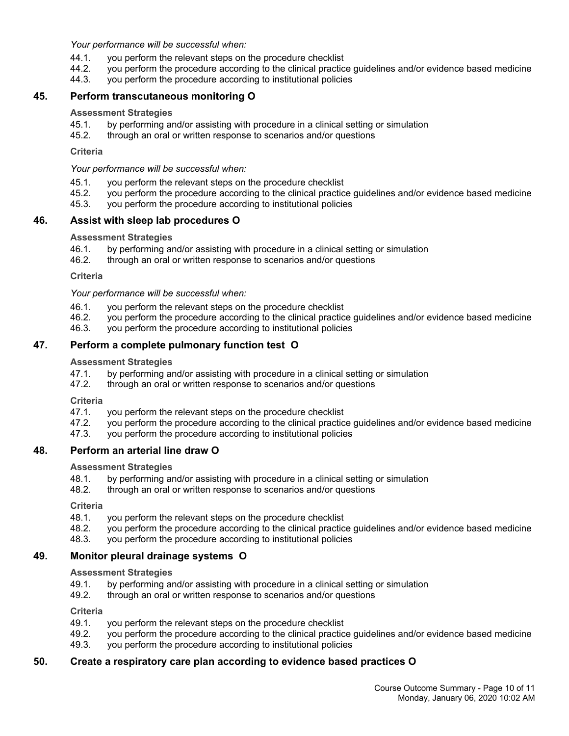*Your performance will be successful when:*

- 44.1. you perform the relevant steps on the procedure checklist
- 44.2. you perform the procedure according to the clinical practice guidelines and/or evidence based medicine
- 44.3. you perform the procedure according to institutional policies

### **45. Perform transcutaneous monitoring O**

#### **Assessment Strategies**

- 45.1. by performing and/or assisting with procedure in a clinical setting or simulation
- 45.2. through an oral or written response to scenarios and/or questions

**Criteria**

*Your performance will be successful when:*

- 45.1. you perform the relevant steps on the procedure checklist
- 45.2. you perform the procedure according to the clinical practice guidelines and/or evidence based medicine
- 45.3. you perform the procedure according to institutional policies

### **46. Assist with sleep lab procedures O**

#### **Assessment Strategies**

- 46.1. by performing and/or assisting with procedure in a clinical setting or simulation
- 46.2. through an oral or written response to scenarios and/or questions

**Criteria**

*Your performance will be successful when:*

- 46.1. you perform the relevant steps on the procedure checklist
- 46.2. you perform the procedure according to the clinical practice guidelines and/or evidence based medicine
- 46.3. you perform the procedure according to institutional policies

### **47. Perform a complete pulmonary function test O**

#### **Assessment Strategies**

- 47.1. by performing and/or assisting with procedure in a clinical setting or simulation
- 47.2. through an oral or written response to scenarios and/or questions

**Criteria**

- 47.1. you perform the relevant steps on the procedure checklist
- 47.2. you perform the procedure according to the clinical practice guidelines and/or evidence based medicine
- 47.3. you perform the procedure according to institutional policies

### **48. Perform an arterial line draw O**

**Assessment Strategies**

- 48.1. by performing and/or assisting with procedure in a clinical setting or simulation
- 48.2. through an oral or written response to scenarios and/or questions

**Criteria**

- 48.1. you perform the relevant steps on the procedure checklist
- 48.2. you perform the procedure according to the clinical practice guidelines and/or evidence based medicine
- 48.3. you perform the procedure according to institutional policies

### **49. Monitor pleural drainage systems O**

**Assessment Strategies**

- 49.1. by performing and/or assisting with procedure in a clinical setting or simulation
- 49.2. through an oral or written response to scenarios and/or questions

**Criteria**

- 49.1. you perform the relevant steps on the procedure checklist
- 49.2. you perform the procedure according to the clinical practice guidelines and/or evidence based medicine
- 49.3. you perform the procedure according to institutional policies

### **50. Create a respiratory care plan according to evidence based practices O**